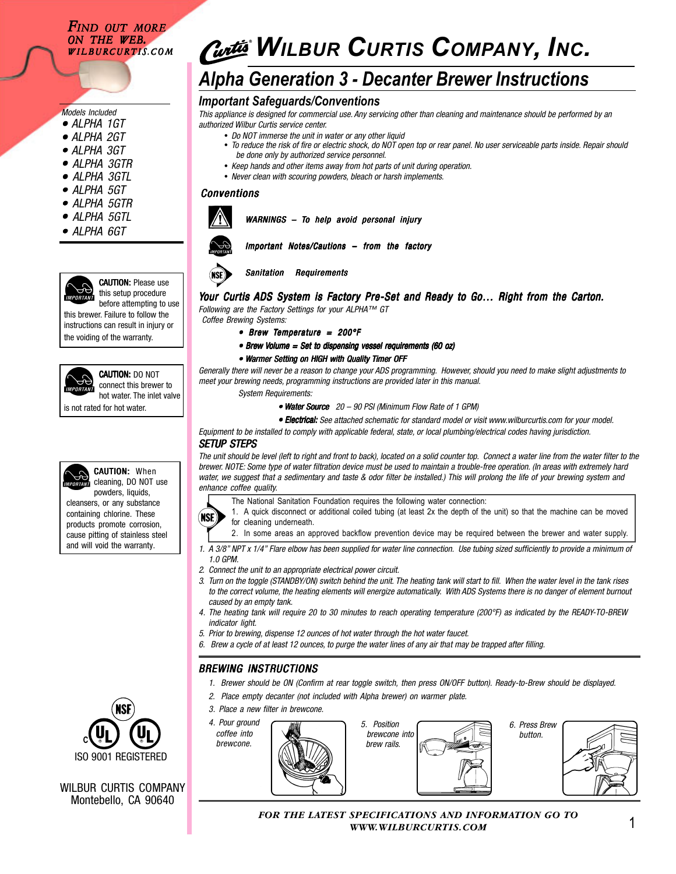## *FIND OUT MORE ON THE WEB. WILBURCURTIS.COM*

# *Models Included*

- *ALPHA 1GT •*
- *ALPHA 2GT •*
- *ALPHA 3GT •*
- *ALPHA 3GTR •*
- *ALPHA 3GTL •*
- *ALPHA 5GT •*
- *ALPHA 5GTR •*
- *ALPHA 5GTL •*
- *ALPHA 6GT •*





CAUTION: DO NOT connect this brewer to hot water. The inlet valve

before attempting to use this brewer. Failure to follow the instructions can result in injury or

the voiding of the warranty.



is not rated for hot water.



**CAUTION: When** cleaning, DO NOT use powders, liquids, cleansers, or any substance containing chlorine. These products promote corrosion, cause pitting of stainless steel

and will void the warranty.

# *WILBUR CURTIS COMPANY, INC.*

# *Alpha Generation 3 - Decanter Brewer Instructions*

# *Important Safeguards/Conventions*

*This appliance is designed for commercial use. Any servicing other than cleaning and maintenance should be performed by an authorized Wilbur Curtis service center.*

- *Do NOT immerse the unit in water or any other liquid*
	- *To reduce the risk of fire or electric shock, do NOT open top or rear panel. No user serviceable parts inside. Repair should be done only by authorized service personnel.*
	- *Keep hands and other items away from hot parts of unit during operation.*
	- *Never clean with scouring powders, bleach or harsh implements.*

### *Conventions*



*WARNINGS – To help avoid personal injury* 



# *Important Notes/Cautions – from the factory*



#### *Sanitation Requirements*

# *Your Curtis ADS System is Factory Pre-Set and Ready to Go... Right from the Carton.*

*Following are the Factory Settings for your ALPHA™ GT Coffee Brewing Systems:*

- *Brew Temperature = 200°F*
- *Brew Volume = Set to dispensing vessel requirements (60 oz) olume = dispensing requirements (60*
- Warmer Setting on HIGH with Quality Timer OFF

*Generally there will never be a reason to change your ADS programming. However, should you need to make slight adjustments to meet your brewing needs, programming instructions are provided later in this manual.*

*System Requirements:*

• Water Source 20 – 90 PSI (Minimum Flow Rate of 1 GPM)

*• Electrical: Electrical: Electrical:See attached schematic for standard model or visit www.wilburcurtis.com for your model.*

*Equipment to be installed to comply with applicable federal, state, or local plumbing/electrical codes having jurisdiction.*

## *SETUP STEPS*

*The unit should be level (left to right and front to back), located on a solid counter top. Connect a water line from the water filter to the brewer. NOTE: Some type of water filtration device must be used to maintain a trouble-free operation. (In areas with extremely hard water, we suggest that a sedimentary and taste & odor filter be installed.) This will prolong the life of your brewing system and enhance coffee quality.*

The National Sanitation Foundation requires the following water connection:



- 1. A quick disconnect or additional coiled tubing (at least 2x the depth of the unit) so that the machine can be moved for cleaning underneath.
- 2. In some areas an approved backflow prevention device may be required between the brewer and water supply.
- *1. A 3/8" NPT x 1/4" Flare elbow has been supplied for water line connection. Use tubing sized sufficiently to provide a minimum of 1.0 GPM.*
- *2. Connect the unit to an appropriate electrical power circuit.*
- *3. Turn on the toggle (STANDBY/ON) switch behind the unit. The heating tank will start to fill. When the water level in the tank rises to the correct volume, the heating elements will energize automatically. With ADS Systems there is no danger of element burnout caused by an empty tank.*
- *4. The heating tank will require 20 to 30 minutes to reach operating temperature (200°F) as indicated by the READY-TO-BREW indicator light.*
- *5. Prior to brewing, dispense 12 ounces of hot water through the hot water faucet.*
- *6. Brew a cycle of at least 12 ounces, to purge the water lines of any air that may be trapped after filling.*

# *BREWING INSTRUCTIONS*

- *1. Brewer should be ON (Confirm at rear toggle switch, then press ON/OFF button). Ready-to-Brew should be displayed.*
- *2. Place empty decanter (not included with Alpha brewer) on warmer plate.*
- *3. Place a new filter in brewcone.*







# WILBUR CURTIS COMPANY Montebello, CA 90640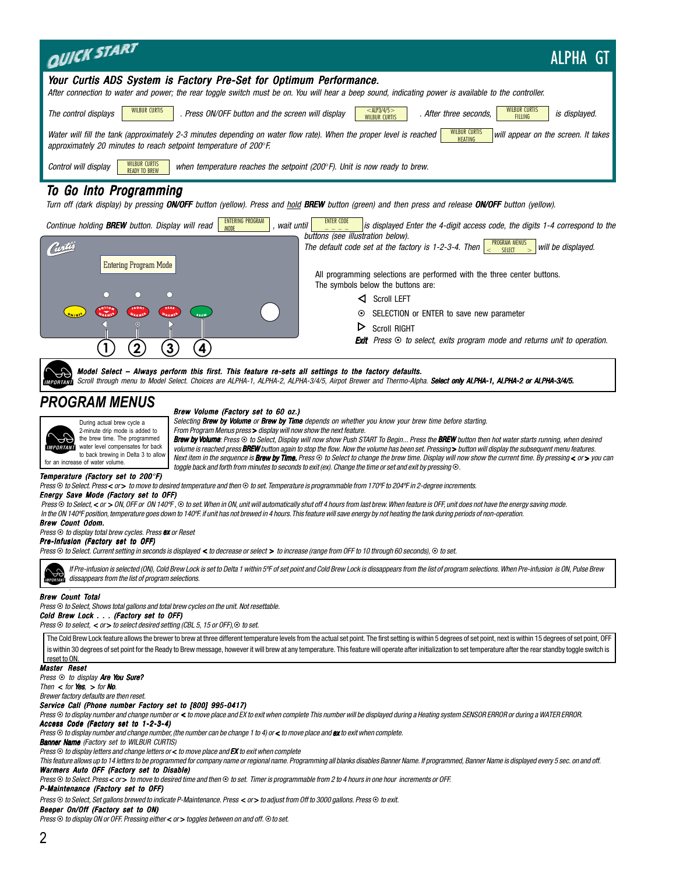| <b>QUICK START</b><br><b>ALPHA GT</b>                                                                                                                                                                                                                                                                                                                                                                                                                                                                                                                                                                                                                                                                                                                                                                                                                                                                                                                                                                                                                             |
|-------------------------------------------------------------------------------------------------------------------------------------------------------------------------------------------------------------------------------------------------------------------------------------------------------------------------------------------------------------------------------------------------------------------------------------------------------------------------------------------------------------------------------------------------------------------------------------------------------------------------------------------------------------------------------------------------------------------------------------------------------------------------------------------------------------------------------------------------------------------------------------------------------------------------------------------------------------------------------------------------------------------------------------------------------------------|
| Your Curtis ADS System is Factory Pre-Set for Optimum Performance.<br>After connection to water and power; the rear toggle switch must be on. You will hear a beep sound, indicating power is available to the controller.                                                                                                                                                                                                                                                                                                                                                                                                                                                                                                                                                                                                                                                                                                                                                                                                                                        |
| $<$ ALP3/4/5 $>$<br>WILBUR CURTIS<br>WILBUR CURTIS<br>The control displays<br>. Press ON/OFF button and the screen will display<br>. After three seconds,<br>is displayed.<br><b>FILLING</b><br><b>WILBUR CURTIS</b>                                                                                                                                                                                                                                                                                                                                                                                                                                                                                                                                                                                                                                                                                                                                                                                                                                              |
| <b>WILBUR CURTIS</b><br>Water will fill the tank (approximately 2-3 minutes depending on water flow rate). When the proper level is reached<br>will appear on the screen. It takes<br><b>HEATING</b><br>approximately 20 minutes to reach setpoint temperature of 200°F.                                                                                                                                                                                                                                                                                                                                                                                                                                                                                                                                                                                                                                                                                                                                                                                          |
| WILBUR CURTIS<br>Control will display<br>when temperature reaches the setpoint (200°F). Unit is now ready to brew.<br><b>READY TO BREW</b>                                                                                                                                                                                                                                                                                                                                                                                                                                                                                                                                                                                                                                                                                                                                                                                                                                                                                                                        |
| To Go Into Programming<br>Turn off (dark display) by pressing ON/OFF button (yellow). Press and hold BREW button (green) and then press and release ON/OFF button (yellow).                                                                                                                                                                                                                                                                                                                                                                                                                                                                                                                                                                                                                                                                                                                                                                                                                                                                                       |
| <b>ENTERING PROGRAM</b><br><b>ENTER CODE</b><br>Continue holding BREW button. Display will read<br>wait until<br>is displayed Enter the 4-digit access code, the digits 1-4 correspond to the<br><b>MODF</b><br>buttons (see illustration below).                                                                                                                                                                                                                                                                                                                                                                                                                                                                                                                                                                                                                                                                                                                                                                                                                 |
| PROGRAM MENUS<br>< SELECT ><br>The default code set at the factory is 1-2-3-4. Then<br>will be displayed.<br>Contro                                                                                                                                                                                                                                                                                                                                                                                                                                                                                                                                                                                                                                                                                                                                                                                                                                                                                                                                               |
| <b>Entering Program Mode</b><br>All programming selections are performed with the three center buttons.<br>The symbols below the buttons are:                                                                                                                                                                                                                                                                                                                                                                                                                                                                                                                                                                                                                                                                                                                                                                                                                                                                                                                     |
| Ω<br>Scroll LEFT                                                                                                                                                                                                                                                                                                                                                                                                                                                                                                                                                                                                                                                                                                                                                                                                                                                                                                                                                                                                                                                  |
| SELECTION or ENTER to save new parameter<br>$\odot$<br><b>BREW</b><br>▷<br><b>Scroll RIGHT</b>                                                                                                                                                                                                                                                                                                                                                                                                                                                                                                                                                                                                                                                                                                                                                                                                                                                                                                                                                                    |
| <b>Exit</b> Press $\odot$ to select, exits program mode and returns unit to operation.<br>$\left[3\right]$<br>$\mathbf{1}$<br>$\mathbf 2$<br>$\mathbf{4}$                                                                                                                                                                                                                                                                                                                                                                                                                                                                                                                                                                                                                                                                                                                                                                                                                                                                                                         |
| Model Select - Always perform this first. This feature re-sets all settings to the factory defaults.<br>Scroll through menu to Model Select. Choices are ALPHA-1, ALPHA-2, ALPHA-3/4/5, Airpot Brewer and Thermo-Alpha. Select only ALPHA-1, ALPHA-2 or ALPHA-3/4/5.                                                                                                                                                                                                                                                                                                                                                                                                                                                                                                                                                                                                                                                                                                                                                                                              |
| <b>PROGRAM MENUS</b><br>Brew Volume (Factory set to 60 oz.)<br>Selecting Brew by Volume or Brew by Time depends on whether you know your brew time before starting.<br>During actual brew cycle a<br>From Program Menus press > display will now show the next feature.<br>2-minute drip mode is added to<br>the brew time. The programmed<br>Brew by Volume: Press ⊙ to Select, Display will now show Push START To Begin Press the BREW button then hot water starts running, when desired<br>water level compensates for back<br>volume is reached press BREW button again to stop the flow. Now the volume has been set. Pressing> button will display the subsequent menu features.<br>to back brewing in Delta 3 to allow<br>Next item in the sequence is <b>Brew by Time.</b> Press $\odot$ to Select to change the brew time. Display will now show the current time. By pressing < or > you can<br>for an increase of water volume.<br>toggle back and forth from minutes to seconds to exit (ex). Change the time or set and exit by pressing $\odot$ . |
| Temperature (Factory set to 200°F)<br>Press⊙ to Select. Press< or> to move to desired temperature and then⊙ to set. Temperature is programmable from 170°F to 204°F in 2-degree increments.                                                                                                                                                                                                                                                                                                                                                                                                                                                                                                                                                                                                                                                                                                                                                                                                                                                                       |
| <b>Energy Save Mode (Factory set to OFF)</b><br>Press $\odot$ to Select, < or > ON, OFF or ON 140°F, $\odot$ to set. When in ON, unit will automatically shut off 4 hours from last brew. When feature is OFF, unit does not have the energy saving mode.<br>In the ON 140°F position, temperature goes down to 140°F. if unit has not brewed in 4 hours. This feature will save energy by not heating the tank during periods of non-operation.                                                                                                                                                                                                                                                                                                                                                                                                                                                                                                                                                                                                                  |
| Brew Count Odom.<br>Press ⊙ to display total brew cycles. Press ex or Reset                                                                                                                                                                                                                                                                                                                                                                                                                                                                                                                                                                                                                                                                                                                                                                                                                                                                                                                                                                                       |
| Pre-Infusion (Factory set to OFF)<br>Press $\odot$ to Select. Current setting in seconds is displayed < to decrease or select > to increase (range from OFF to 10 through 60 seconds), $\odot$ to set.                                                                                                                                                                                                                                                                                                                                                                                                                                                                                                                                                                                                                                                                                                                                                                                                                                                            |
| If Pre-infusion is selected (ON), Cold Brew Lock is set to Delta 1 within 5°F of set point and Cold Brew Lock is dissappears from the list of program selections. When Pre-infusion is ON, Pulse Brew<br>dissappears from the list of program selections.<br>MPORTAN                                                                                                                                                                                                                                                                                                                                                                                                                                                                                                                                                                                                                                                                                                                                                                                              |
| <b>Brew Count Total</b><br>Press⊙ to Select, Shows total gallons and total brew cycles on the unit. Not resettable.<br>Cold Brew Lock (Factory set to OFF)<br>Press $\odot$ to select, $\lt$ or $>$ to select desired setting (CBL 5, 15 or OFF), $\odot$ to set.                                                                                                                                                                                                                                                                                                                                                                                                                                                                                                                                                                                                                                                                                                                                                                                                 |
| The Cold Brew Lock feature allows the brewer to brew at three different temperature levels from the actual set point. The first setting is within 5 degrees of set point, next is within 15 degrees of set point, OFF<br>is within 30 degrees of set point for the Ready to Brew message, however it will brew at any temperature. This feature will operate after initialization to set temperature after the rear standby toggle switch is                                                                                                                                                                                                                                                                                                                                                                                                                                                                                                                                                                                                                      |
| reset to ON.<br>Master Reset<br>Press ⊙ to display <b>Are You Sure?</b>                                                                                                                                                                                                                                                                                                                                                                                                                                                                                                                                                                                                                                                                                                                                                                                                                                                                                                                                                                                           |
| Then $\lt$ for <b>Yes</b> , $\gt$ for <b>No</b> .<br>Brewer factory defaults are then reset.                                                                                                                                                                                                                                                                                                                                                                                                                                                                                                                                                                                                                                                                                                                                                                                                                                                                                                                                                                      |
| Service Call (Phone number Factory set to [800] 995-0417)<br>Press © to display number and change number or < to move place and EX to exit when complete This number will be displayed during a Heating system SENSOR ERROR or during a WATER ERROR.<br>Access Code (Factory set to 1-2-3-4)                                                                                                                                                                                                                                                                                                                                                                                                                                                                                                                                                                                                                                                                                                                                                                      |
| Press $\odot$ to display number and change number, (the number can be change 1 to 4) or < to move place and ex to exit when complete.<br><b>Banner Name</b> (Factory set to WILBUR CURTIS)<br>Press $\odot$ to display letters and change letters or < to move place and EX to exit when complete                                                                                                                                                                                                                                                                                                                                                                                                                                                                                                                                                                                                                                                                                                                                                                 |

*This feature allows up to 14 letters to be programmed for company name or regional name. Programming all blanks disables Banner Name. If programmed, Banner Name is displayed every 5 sec. on and off. Warmers Auto OFF (Factory set to Disable)*

*Press* ~ *to Select. Press* < *or* > *to move to desired time and then* ~ *to set. Timer is programmable from 2 to 4 hours in one hour increments or OFF.*

*P-Maintenance (Factory set to OFF)*

 $Press$  $\odot$  to Select, Set gallons brewed to indicate P-Maintenance. Press < or > to adjust from Off to 3000 gallons. Press  $\odot$  to exit.

*Beeper On/Off (Factory set to ON)*

*Press*  $\odot$  to display ON or OFF. Pressing either < or > toggles between on and off.  $\odot$  to set.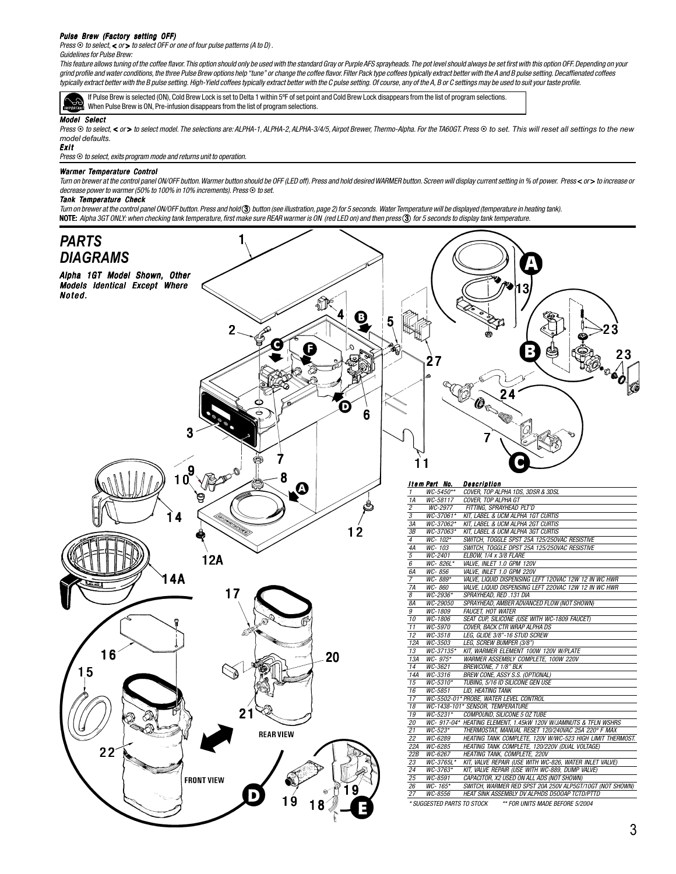#### *Pulse Brew (Factory setting OFF)*

*Press* ⊙ *to select, < or > to select OFF or one of four pulse patterns (A to D)*.

#### *Guidelines for Pulse Brew:*

*This feature allows tuning of the coffee flavor. This option should only be used with the standard Gray or Purple AFS sprayheads. The pot level should always be set first with this option OFF. Depending on your grind profile and water conditions, the three Pulse Brew options help "tune" or change the coffee flavor. Filter Pack type coffees typically extract better with the A and B pulse setting. Decaffienated coffees typically extract better with the B pulse setting. High-Yield coffees typically extract better with the C pulse setting. Of course, any of the A, B or C settings may be used to suit your taste profile.*

If Pulse Brew is selected (ON), Cold Brew Lock is set to Delta 1 within 5ºF of set point and Cold Brew Lock disappears from the list of program selections. When Pulse Brew is ON, Pre-infusion disappears from the list of program selections.

#### *Model Select*

Press © to select, < or > to select model. The selections are: ALPHA-1, ALPHA-2, ALPHA-3/4/5, Airpot Brewer, Thermo-Alpha. For the TA60GT. Press © to set. This will reset all settings to the new *model defaults.*

#### *Exit*

*Press*  $\odot$  *to select, exits program mode and returns unit to operation.* 

#### **Warmer Temperature Control**

Turn on brewer at the control panel ON/OFF button. Warmer button should be OFF (LED off). Press and hold desired WARMER button. Screen will display current setting in % of power. Press<or> to increase or *decrease power to warmer (50% to 100% in 10% increments). Press*  $\odot$  to set.

#### *Tank Temperature Check*

*Turn on brewer at the control panel ON/OFF button. Press and hold* 3 *button (see illustration, page 2) for 5 seconds. Water Temperature will be displayed (temperature in heating tank).* NOTE: *Alpha 3GT ONLY: when checking tank temperature, first make sure REAR warmer is ON (red LED on) and then press* 3 *for 5 seconds to display tank temperature.*